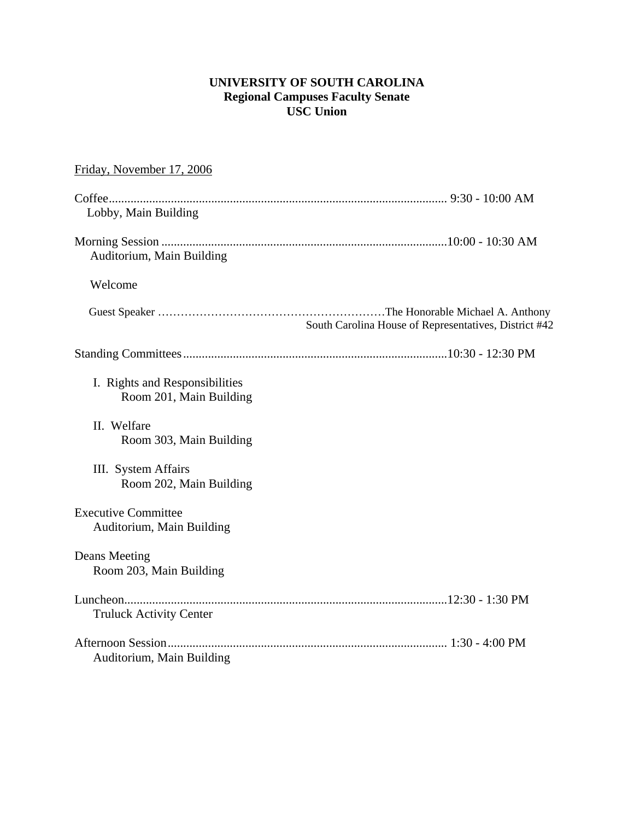## **UNIVERSITY OF SOUTH CAROLINA Regional Campuses Faculty Senate USC Union**

| Friday, November 17, 2006                                 |                                                       |
|-----------------------------------------------------------|-------------------------------------------------------|
| Lobby, Main Building                                      |                                                       |
| Auditorium, Main Building                                 |                                                       |
| Welcome                                                   |                                                       |
|                                                           | South Carolina House of Representatives, District #42 |
|                                                           |                                                       |
| I. Rights and Responsibilities<br>Room 201, Main Building |                                                       |
| II. Welfare<br>Room 303, Main Building                    |                                                       |
| III. System Affairs<br>Room 202, Main Building            |                                                       |
| <b>Executive Committee</b><br>Auditorium, Main Building   |                                                       |
| Deans Meeting<br>Room 203, Main Building                  |                                                       |
| <b>Truluck Activity Center</b>                            |                                                       |
| Auditorium, Main Building                                 |                                                       |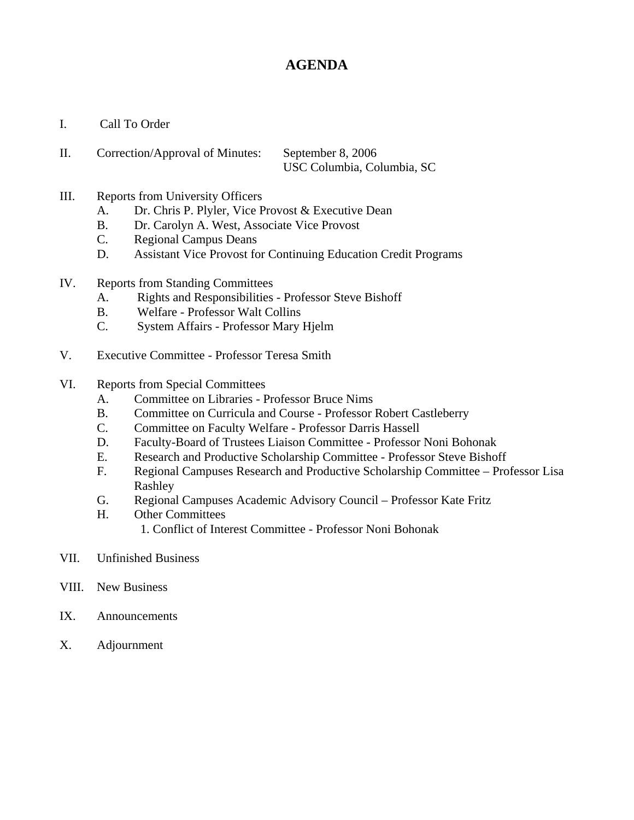# **AGENDA**

- I. Call To Order
- II. Correction/Approval of Minutes: September 8, 2006 USC Columbia, Columbia, SC
- III. Reports from University Officers
	- A. Dr. Chris P. Plyler, Vice Provost & Executive Dean
	- B. Dr. Carolyn A. West, Associate Vice Provost
	- C. Regional Campus Deans
	- D. Assistant Vice Provost for Continuing Education Credit Programs
- IV. Reports from Standing Committees
	- A. Rights and Responsibilities Professor Steve Bishoff
	- B. Welfare Professor Walt Collins
	- C. System Affairs Professor Mary Hjelm
- V. Executive Committee Professor Teresa Smith
- VI. Reports from Special Committees
	- A. Committee on Libraries Professor Bruce Nims
	- B. Committee on Curricula and Course Professor Robert Castleberry
	- C. Committee on Faculty Welfare Professor Darris Hassell
	- D. Faculty-Board of Trustees Liaison Committee Professor Noni Bohonak
	- E. Research and Productive Scholarship Committee Professor Steve Bishoff
	- F. Regional Campuses Research and Productive Scholarship Committee Professor Lisa Rashley
	- G. Regional Campuses Academic Advisory Council Professor Kate Fritz
	- H. Other Committees
		- 1. Conflict of Interest Committee Professor Noni Bohonak
- VII. Unfinished Business
- VIII. New Business
- IX. Announcements
- X. Adjournment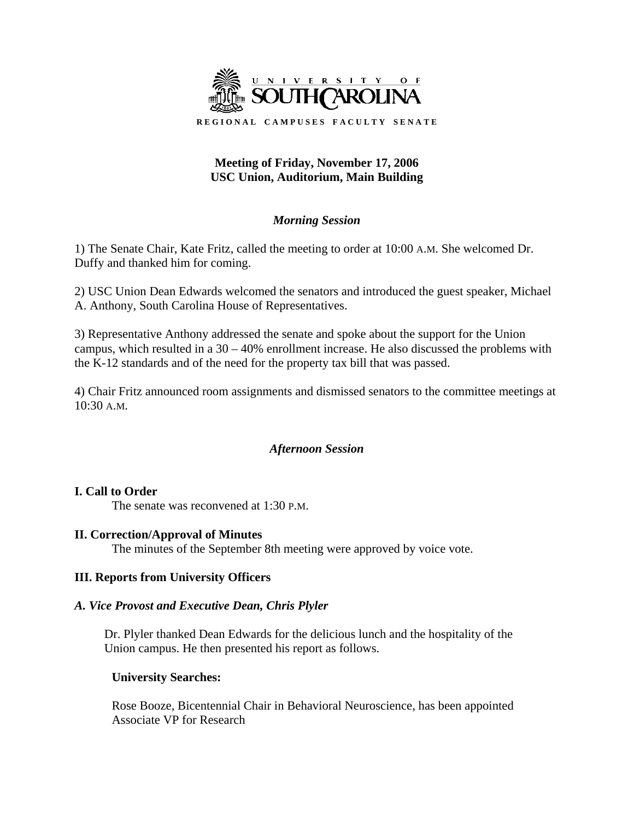

## **Meeting of Friday, November 17, 2006 USC Union, Auditorium, Main Building**

## *Morning Session*

1) The Senate Chair, Kate Fritz, called the meeting to order at 10:00 A.M. She welcomed Dr. Duffy and thanked him for coming.

2) USC Union Dean Edwards welcomed the senators and introduced the guest speaker, Michael A. Anthony, South Carolina House of Representatives.

3) Representative Anthony addressed the senate and spoke about the support for the Union campus, which resulted in a 30 – 40% enrollment increase. He also discussed the problems with the K-12 standards and of the need for the property tax bill that was passed.

4) Chair Fritz announced room assignments and dismissed senators to the committee meetings at 10:30 A.M.

## *Afternoon Session*

#### **I. Call to Order**

The senate was reconvened at 1:30 P.M.

#### **II. Correction/Approval of Minutes**

The minutes of the September 8th meeting were approved by voice vote.

#### **III. Reports from University Officers**

#### *A. Vice Provost and Executive Dean, Chris Plyler*

Dr. Plyler thanked Dean Edwards for the delicious lunch and the hospitality of the Union campus. He then presented his report as follows.

#### **University Searches:**

 Rose Booze, Bicentennial Chair in Behavioral Neuroscience, has been appointed Associate VP for Research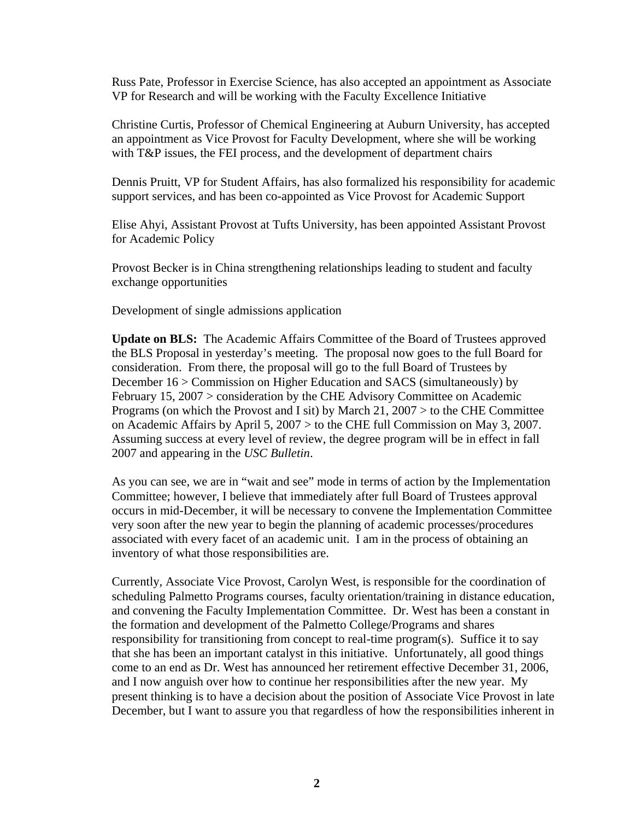Russ Pate, Professor in Exercise Science, has also accepted an appointment as Associate VP for Research and will be working with the Faculty Excellence Initiative

 Christine Curtis, Professor of Chemical Engineering at Auburn University, has accepted an appointment as Vice Provost for Faculty Development, where she will be working with T&P issues, the FEI process, and the development of department chairs

 Dennis Pruitt, VP for Student Affairs, has also formalized his responsibility for academic support services, and has been co-appointed as Vice Provost for Academic Support

 Elise Ahyi, Assistant Provost at Tufts University, has been appointed Assistant Provost for Academic Policy

 Provost Becker is in China strengthening relationships leading to student and faculty exchange opportunities

Development of single admissions application

 **Update on BLS:** The Academic Affairs Committee of the Board of Trustees approved the BLS Proposal in yesterday's meeting. The proposal now goes to the full Board for consideration. From there, the proposal will go to the full Board of Trustees by December 16 > Commission on Higher Education and SACS (simultaneously) by February 15, 2007 > consideration by the CHE Advisory Committee on Academic Programs (on which the Provost and I sit) by March 21, 2007 > to the CHE Committee on Academic Affairs by April 5, 2007 > to the CHE full Commission on May 3, 2007. Assuming success at every level of review, the degree program will be in effect in fall 2007 and appearing in the *USC Bulletin*.

 As you can see, we are in "wait and see" mode in terms of action by the Implementation Committee; however, I believe that immediately after full Board of Trustees approval occurs in mid-December, it will be necessary to convene the Implementation Committee very soon after the new year to begin the planning of academic processes/procedures associated with every facet of an academic unit. I am in the process of obtaining an inventory of what those responsibilities are.

 Currently, Associate Vice Provost, Carolyn West, is responsible for the coordination of scheduling Palmetto Programs courses, faculty orientation/training in distance education, and convening the Faculty Implementation Committee. Dr. West has been a constant in the formation and development of the Palmetto College/Programs and shares responsibility for transitioning from concept to real-time program(s). Suffice it to say that she has been an important catalyst in this initiative. Unfortunately, all good things come to an end as Dr. West has announced her retirement effective December 31, 2006, and I now anguish over how to continue her responsibilities after the new year. My present thinking is to have a decision about the position of Associate Vice Provost in late December, but I want to assure you that regardless of how the responsibilities inherent in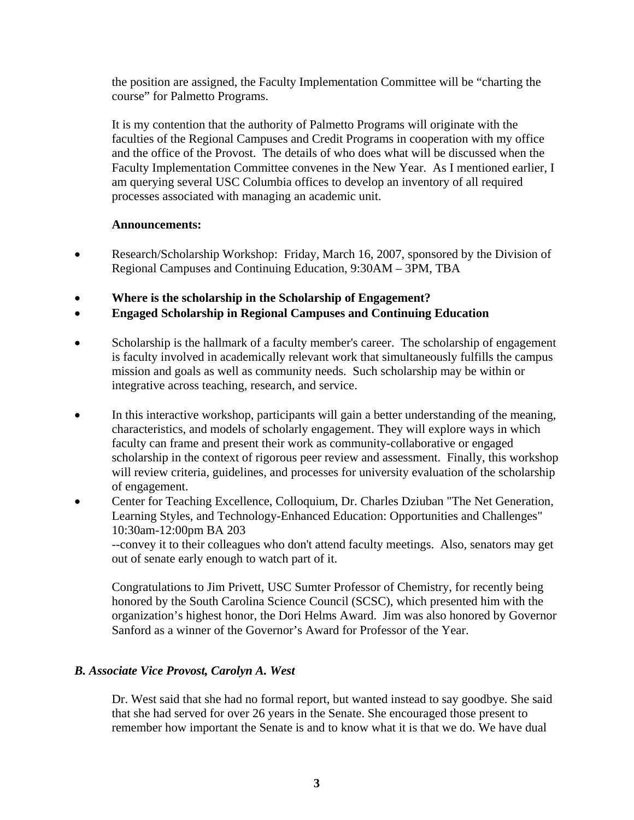the position are assigned, the Faculty Implementation Committee will be "charting the course" for Palmetto Programs.

 It is my contention that the authority of Palmetto Programs will originate with the faculties of the Regional Campuses and Credit Programs in cooperation with my office and the office of the Provost. The details of who does what will be discussed when the Faculty Implementation Committee convenes in the New Year. As I mentioned earlier, I am querying several USC Columbia offices to develop an inventory of all required processes associated with managing an academic unit.

#### **Announcements:**

- Research/Scholarship Workshop: Friday, March 16, 2007, sponsored by the Division of Regional Campuses and Continuing Education, 9:30AM – 3PM, TBA
- **Where is the scholarship in the Scholarship of Engagement?**
- **Engaged Scholarship in Regional Campuses and Continuing Education**
- Scholarship is the hallmark of a faculty member's career. The scholarship of engagement is faculty involved in academically relevant work that simultaneously fulfills the campus mission and goals as well as community needs. Such scholarship may be within or integrative across teaching, research, and service.
- In this interactive workshop, participants will gain a better understanding of the meaning, characteristics, and models of scholarly engagement. They will explore ways in which faculty can frame and present their work as community-collaborative or engaged scholarship in the context of rigorous peer review and assessment. Finally, this workshop will review criteria, guidelines, and processes for university evaluation of the scholarship of engagement.
- Center for Teaching Excellence, Colloquium, Dr. Charles Dziuban "The Net Generation, Learning Styles, and Technology-Enhanced Education: Opportunities and Challenges" 10:30am-12:00pm BA 203 --convey it to their colleagues who don't attend faculty meetings. Also, senators may get out of senate early enough to watch part of it.

Sanford as a winner of the Governor's Award for Professor of the Year.

 Congratulations to Jim Privett, USC Sumter Professor of Chemistry, for recently being honored by the South Carolina Science Council (SCSC), which presented him with the organization's highest honor, the Dori Helms Award. Jim was also honored by Governor

## *B. Associate Vice Provost, Carolyn A. West*

 Dr. West said that she had no formal report, but wanted instead to say goodbye. She said that she had served for over 26 years in the Senate. She encouraged those present to remember how important the Senate is and to know what it is that we do. We have dual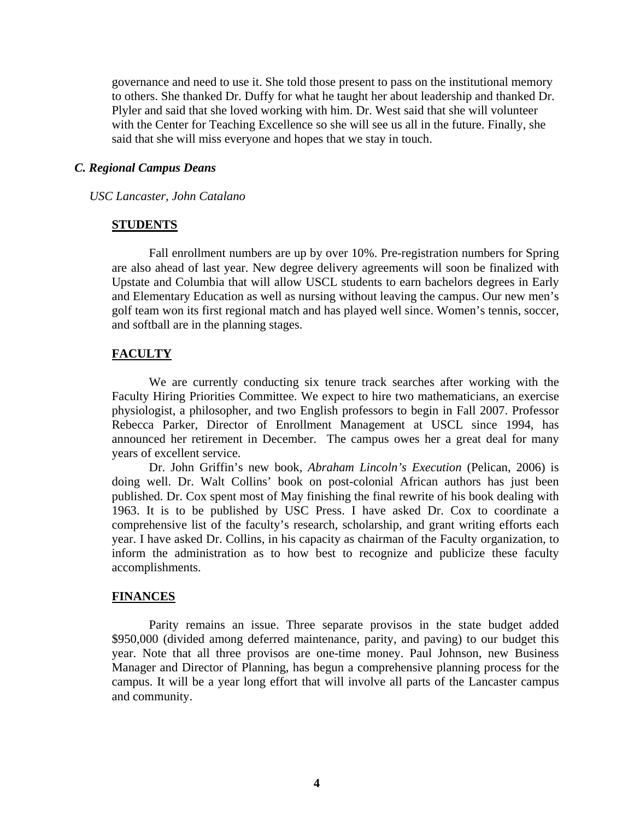governance and need to use it. She told those present to pass on the institutional memory to others. She thanked Dr. Duffy for what he taught her about leadership and thanked Dr. Plyler and said that she loved working with him. Dr. West said that she will volunteer with the Center for Teaching Excellence so she will see us all in the future. Finally, she said that she will miss everyone and hopes that we stay in touch.

#### *C. Regional Campus Deans*

#### *USC Lancaster, John Catalano*

#### **STUDENTS**

Fall enrollment numbers are up by over 10%. Pre-registration numbers for Spring are also ahead of last year. New degree delivery agreements will soon be finalized with Upstate and Columbia that will allow USCL students to earn bachelors degrees in Early and Elementary Education as well as nursing without leaving the campus. Our new men's golf team won its first regional match and has played well since. Women's tennis, soccer, and softball are in the planning stages.

#### **FACULTY**

 We are currently conducting six tenure track searches after working with the Faculty Hiring Priorities Committee. We expect to hire two mathematicians, an exercise physiologist, a philosopher, and two English professors to begin in Fall 2007. Professor Rebecca Parker, Director of Enrollment Management at USCL since 1994, has announced her retirement in December. The campus owes her a great deal for many years of excellent service.

Dr. John Griffin's new book, *Abraham Lincoln's Execution* (Pelican, 2006) is doing well. Dr. Walt Collins' book on post-colonial African authors has just been published. Dr. Cox spent most of May finishing the final rewrite of his book dealing with 1963. It is to be published by USC Press. I have asked Dr. Cox to coordinate a comprehensive list of the faculty's research, scholarship, and grant writing efforts each year. I have asked Dr. Collins, in his capacity as chairman of the Faculty organization, to inform the administration as to how best to recognize and publicize these faculty accomplishments.

#### **FINANCES**

Parity remains an issue. Three separate provisos in the state budget added \$950,000 (divided among deferred maintenance, parity, and paving) to our budget this year. Note that all three provisos are one-time money. Paul Johnson, new Business Manager and Director of Planning, has begun a comprehensive planning process for the campus. It will be a year long effort that will involve all parts of the Lancaster campus and community.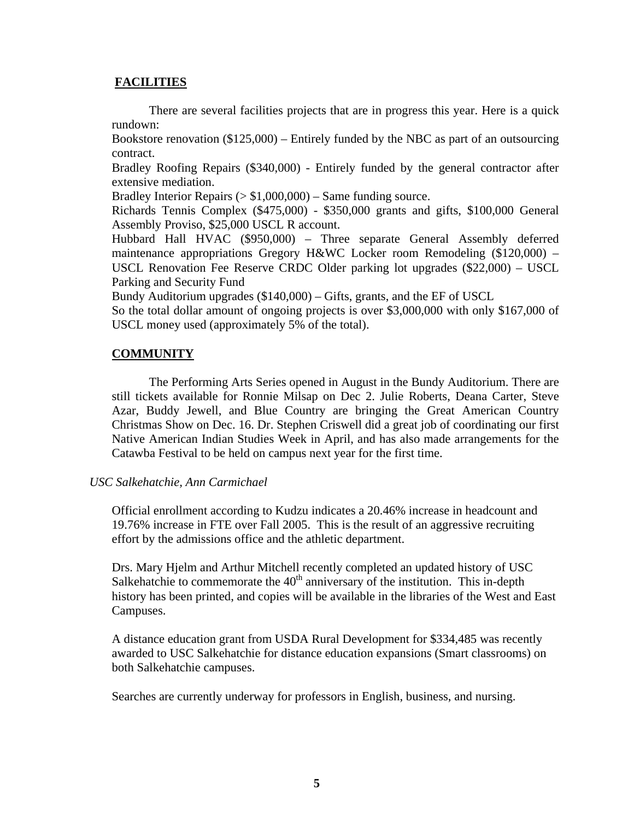#### **FACILITIES**

There are several facilities projects that are in progress this year. Here is a quick rundown:

Bookstore renovation (\$125,000) – Entirely funded by the NBC as part of an outsourcing contract.

Bradley Roofing Repairs (\$340,000) - Entirely funded by the general contractor after extensive mediation.

Bradley Interior Repairs  $(>\$1,000,000)$  – Same funding source.

Richards Tennis Complex (\$475,000) - \$350,000 grants and gifts, \$100,000 General Assembly Proviso, \$25,000 USCL R account.

Hubbard Hall HVAC (\$950,000) – Three separate General Assembly deferred maintenance appropriations Gregory H&WC Locker room Remodeling (\$120,000) – USCL Renovation Fee Reserve CRDC Older parking lot upgrades (\$22,000) – USCL Parking and Security Fund

Bundy Auditorium upgrades (\$140,000) – Gifts, grants, and the EF of USCL

So the total dollar amount of ongoing projects is over \$3,000,000 with only \$167,000 of USCL money used (approximately 5% of the total).

## **COMMUNITY**

The Performing Arts Series opened in August in the Bundy Auditorium. There are still tickets available for Ronnie Milsap on Dec 2. Julie Roberts, Deana Carter, Steve Azar, Buddy Jewell, and Blue Country are bringing the Great American Country Christmas Show on Dec. 16. Dr. Stephen Criswell did a great job of coordinating our first Native American Indian Studies Week in April, and has also made arrangements for the Catawba Festival to be held on campus next year for the first time.

#### *USC Salkehatchie, Ann Carmichael*

Official enrollment according to Kudzu indicates a 20.46% increase in headcount and 19.76% increase in FTE over Fall 2005. This is the result of an aggressive recruiting effort by the admissions office and the athletic department.

Drs. Mary Hjelm and Arthur Mitchell recently completed an updated history of USC Salkehatchie to commemorate the  $40<sup>th</sup>$  anniversary of the institution. This in-depth history has been printed, and copies will be available in the libraries of the West and East Campuses.

A distance education grant from USDA Rural Development for \$334,485 was recently awarded to USC Salkehatchie for distance education expansions (Smart classrooms) on both Salkehatchie campuses.

Searches are currently underway for professors in English, business, and nursing.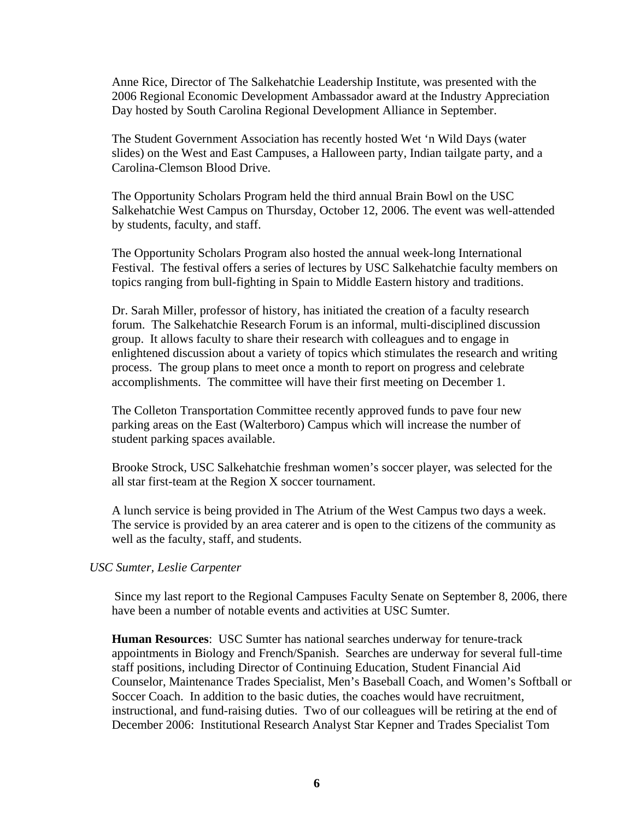Anne Rice, Director of The Salkehatchie Leadership Institute, was presented with the 2006 Regional Economic Development Ambassador award at the Industry Appreciation Day hosted by South Carolina Regional Development Alliance in September.

The Student Government Association has recently hosted Wet 'n Wild Days (water slides) on the West and East Campuses, a Halloween party, Indian tailgate party, and a Carolina-Clemson Blood Drive.

The Opportunity Scholars Program held the third annual Brain Bowl on the USC Salkehatchie West Campus on Thursday, October 12, 2006. The event was well-attended by students, faculty, and staff.

The Opportunity Scholars Program also hosted the annual week-long International Festival. The festival offers a series of lectures by USC Salkehatchie faculty members on topics ranging from bull-fighting in Spain to Middle Eastern history and traditions.

Dr. Sarah Miller, professor of history, has initiated the creation of a faculty research forum. The Salkehatchie Research Forum is an informal, multi-disciplined discussion group. It allows faculty to share their research with colleagues and to engage in enlightened discussion about a variety of topics which stimulates the research and writing process. The group plans to meet once a month to report on progress and celebrate accomplishments. The committee will have their first meeting on December 1.

The Colleton Transportation Committee recently approved funds to pave four new parking areas on the East (Walterboro) Campus which will increase the number of student parking spaces available.

Brooke Strock, USC Salkehatchie freshman women's soccer player, was selected for the all star first-team at the Region X soccer tournament.

A lunch service is being provided in The Atrium of the West Campus two days a week. The service is provided by an area caterer and is open to the citizens of the community as well as the faculty, staff, and students.

#### *USC Sumter, Leslie Carpenter*

Since my last report to the Regional Campuses Faculty Senate on September 8, 2006, there have been a number of notable events and activities at USC Sumter.

**Human Resources**: USC Sumter has national searches underway for tenure-track appointments in Biology and French/Spanish. Searches are underway for several full-time staff positions, including Director of Continuing Education, Student Financial Aid Counselor, Maintenance Trades Specialist, Men's Baseball Coach, and Women's Softball or Soccer Coach. In addition to the basic duties, the coaches would have recruitment, instructional, and fund-raising duties. Two of our colleagues will be retiring at the end of December 2006: Institutional Research Analyst Star Kepner and Trades Specialist Tom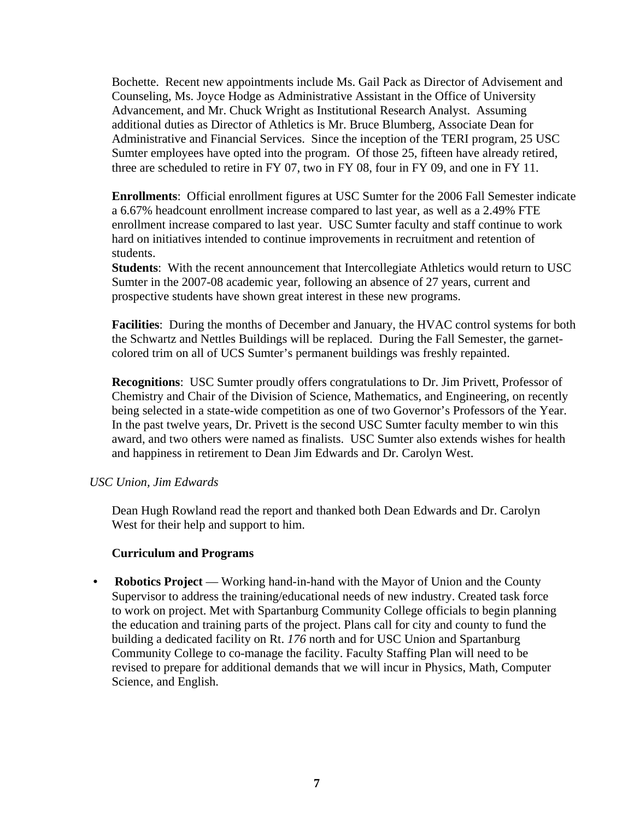Bochette. Recent new appointments include Ms. Gail Pack as Director of Advisement and Counseling, Ms. Joyce Hodge as Administrative Assistant in the Office of University Advancement, and Mr. Chuck Wright as Institutional Research Analyst. Assuming additional duties as Director of Athletics is Mr. Bruce Blumberg, Associate Dean for Administrative and Financial Services. Since the inception of the TERI program, 25 USC Sumter employees have opted into the program. Of those 25, fifteen have already retired, three are scheduled to retire in FY 07, two in FY 08, four in FY 09, and one in FY 11.

**Enrollments**: Official enrollment figures at USC Sumter for the 2006 Fall Semester indicate a 6.67% headcount enrollment increase compared to last year, as well as a 2.49% FTE enrollment increase compared to last year. USC Sumter faculty and staff continue to work hard on initiatives intended to continue improvements in recruitment and retention of students.

**Students**: With the recent announcement that Intercollegiate Athletics would return to USC Sumter in the 2007-08 academic year, following an absence of 27 years, current and prospective students have shown great interest in these new programs.

**Facilities**: During the months of December and January, the HVAC control systems for both the Schwartz and Nettles Buildings will be replaced. During the Fall Semester, the garnetcolored trim on all of UCS Sumter's permanent buildings was freshly repainted.

**Recognitions**: USC Sumter proudly offers congratulations to Dr. Jim Privett, Professor of Chemistry and Chair of the Division of Science, Mathematics, and Engineering, on recently being selected in a state-wide competition as one of two Governor's Professors of the Year. In the past twelve years, Dr. Privett is the second USC Sumter faculty member to win this award, and two others were named as finalists. USC Sumter also extends wishes for health and happiness in retirement to Dean Jim Edwards and Dr. Carolyn West.

#### *USC Union, Jim Edwards*

Dean Hugh Rowland read the report and thanked both Dean Edwards and Dr. Carolyn West for their help and support to him.

#### **Curriculum and Programs**

• **Robotics Project** — Working hand-in-hand with the Mayor of Union and the County Supervisor to address the training/educational needs of new industry. Created task force to work on project. Met with Spartanburg Community College officials to begin planning the education and training parts of the project. Plans call for city and county to fund the building a dedicated facility on Rt. *176* north and for USC Union and Spartanburg Community College to co-manage the facility. Faculty Staffing Plan will need to be revised to prepare for additional demands that we will incur in Physics, Math, Computer Science, and English.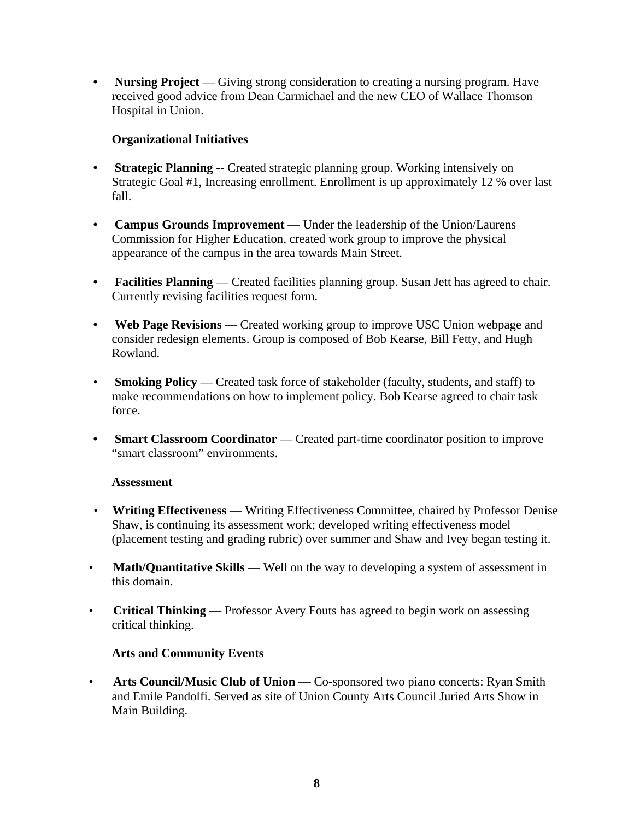• **Nursing Project** — Giving strong consideration to creating a nursing program. Have received good advice from Dean Carmichael and the new CEO of Wallace Thomson Hospital in Union.

## **Organizational Initiatives**

- **Strategic Planning** -- Created strategic planning group. Working intensively on Strategic Goal #1, Increasing enrollment. Enrollment is up approximately 12 % over last fall.
- **Campus Grounds Improvement** Under the leadership of the Union/Laurens Commission for Higher Education, created work group to improve the physical appearance of the campus in the area towards Main Street.
- **Facilities Planning** Created facilities planning group. Susan Jett has agreed to chair. Currently revising facilities request form.
- **Web Page Revisions** Created working group to improve USC Union webpage and consider redesign elements. Group is composed of Bob Kearse, Bill Fetty, and Hugh Rowland.
- **Smoking Policy** Created task force of stakeholder (faculty, students, and staff) to make recommendations on how to implement policy. Bob Kearse agreed to chair task force.
- **Smart Classroom Coordinator** Created part-time coordinator position to improve "smart classroom" environments.

## **Assessment**

- **Writing Effectiveness** Writing Effectiveness Committee, chaired by Professor Denise Shaw, is continuing its assessment work; developed writing effectiveness model (placement testing and grading rubric) over summer and Shaw and Ivey began testing it.
- Math/Quantitative Skills Well on the way to developing a system of assessment in this domain.
- **Critical Thinking** Professor Avery Fouts has agreed to begin work on assessing critical thinking.

## **Arts and Community Events**

• **Arts Council/Music Club of Union** — Co-sponsored two piano concerts: Ryan Smith and Emile Pandolfi. Served as site of Union County Arts Council Juried Arts Show in Main Building.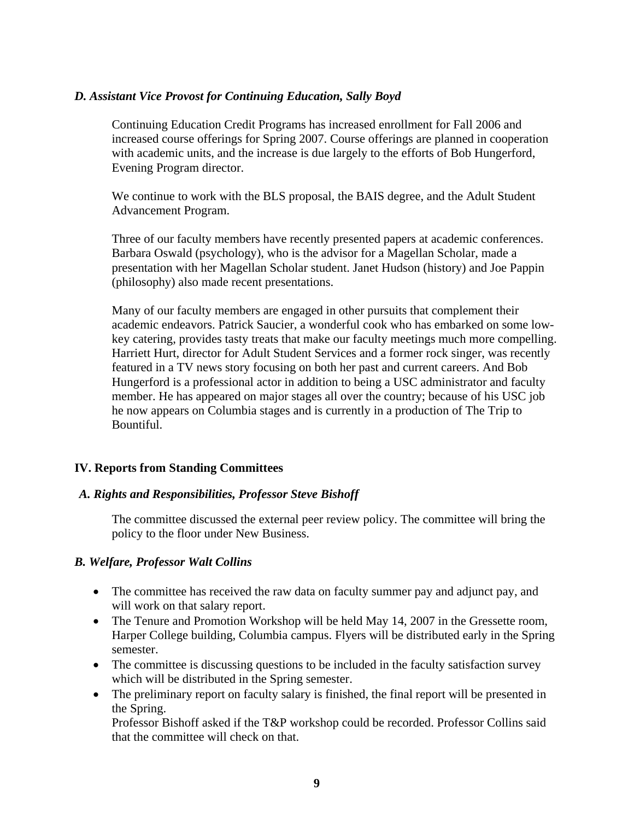#### *D. Assistant Vice Provost for Continuing Education, Sally Boyd*

Continuing Education Credit Programs has increased enrollment for Fall 2006 and increased course offerings for Spring 2007. Course offerings are planned in cooperation with academic units, and the increase is due largely to the efforts of Bob Hungerford, Evening Program director.

We continue to work with the BLS proposal, the BAIS degree, and the Adult Student Advancement Program.

Three of our faculty members have recently presented papers at academic conferences. Barbara Oswald (psychology), who is the advisor for a Magellan Scholar, made a presentation with her Magellan Scholar student. Janet Hudson (history) and Joe Pappin (philosophy) also made recent presentations.

Many of our faculty members are engaged in other pursuits that complement their academic endeavors. Patrick Saucier, a wonderful cook who has embarked on some lowkey catering, provides tasty treats that make our faculty meetings much more compelling. Harriett Hurt, director for Adult Student Services and a former rock singer, was recently featured in a TV news story focusing on both her past and current careers. And Bob Hungerford is a professional actor in addition to being a USC administrator and faculty member. He has appeared on major stages all over the country; because of his USC job he now appears on Columbia stages and is currently in a production of The Trip to Bountiful.

## **IV. Reports from Standing Committees**

## *A. Rights and Responsibilities, Professor Steve Bishoff*

The committee discussed the external peer review policy. The committee will bring the policy to the floor under New Business.

## *B. Welfare, Professor Walt Collins*

- The committee has received the raw data on faculty summer pay and adjunct pay, and will work on that salary report.
- The Tenure and Promotion Workshop will be held May 14, 2007 in the Gressette room, Harper College building, Columbia campus. Flyers will be distributed early in the Spring semester.
- The committee is discussing questions to be included in the faculty satisfaction survey which will be distributed in the Spring semester.
- The preliminary report on faculty salary is finished, the final report will be presented in the Spring.

Professor Bishoff asked if the T&P workshop could be recorded. Professor Collins said that the committee will check on that.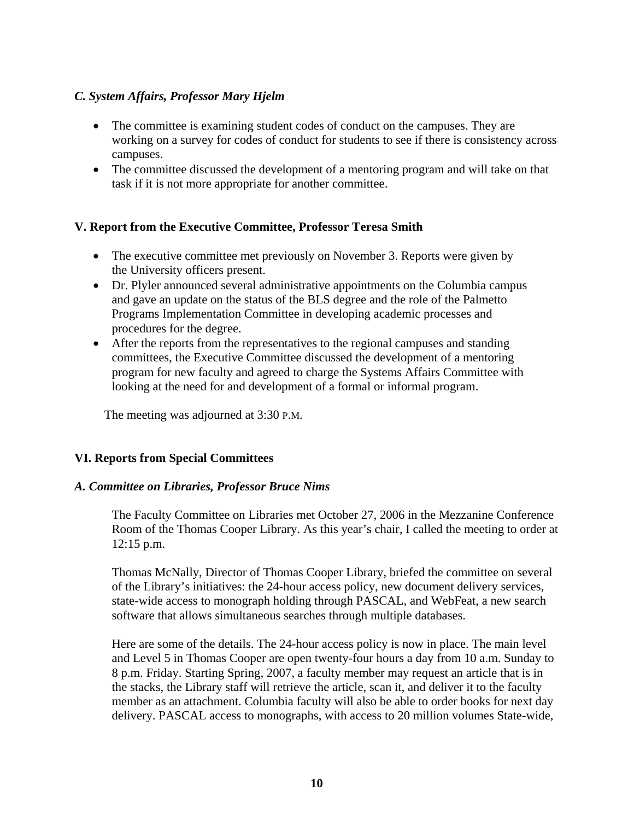## *C. System Affairs, Professor Mary Hjelm*

- The committee is examining student codes of conduct on the campuses. They are working on a survey for codes of conduct for students to see if there is consistency across campuses.
- The committee discussed the development of a mentoring program and will take on that task if it is not more appropriate for another committee.

#### **V. Report from the Executive Committee, Professor Teresa Smith**

- The executive committee met previously on November 3. Reports were given by the University officers present.
- Dr. Plyler announced several administrative appointments on the Columbia campus and gave an update on the status of the BLS degree and the role of the Palmetto Programs Implementation Committee in developing academic processes and procedures for the degree.
- After the reports from the representatives to the regional campuses and standing committees, the Executive Committee discussed the development of a mentoring program for new faculty and agreed to charge the Systems Affairs Committee with looking at the need for and development of a formal or informal program.

The meeting was adjourned at 3:30 P.M.

#### **VI. Reports from Special Committees**

#### *A. Committee on Libraries, Professor Bruce Nims*

The Faculty Committee on Libraries met October 27, 2006 in the Mezzanine Conference Room of the Thomas Cooper Library. As this year's chair, I called the meeting to order at 12:15 p.m.

Thomas McNally, Director of Thomas Cooper Library, briefed the committee on several of the Library's initiatives: the 24-hour access policy, new document delivery services, state-wide access to monograph holding through PASCAL, and WebFeat, a new search software that allows simultaneous searches through multiple databases.

Here are some of the details. The 24-hour access policy is now in place. The main level and Level 5 in Thomas Cooper are open twenty-four hours a day from 10 a.m. Sunday to 8 p.m. Friday. Starting Spring, 2007, a faculty member may request an article that is in the stacks, the Library staff will retrieve the article, scan it, and deliver it to the faculty member as an attachment. Columbia faculty will also be able to order books for next day delivery. PASCAL access to monographs, with access to 20 million volumes State-wide,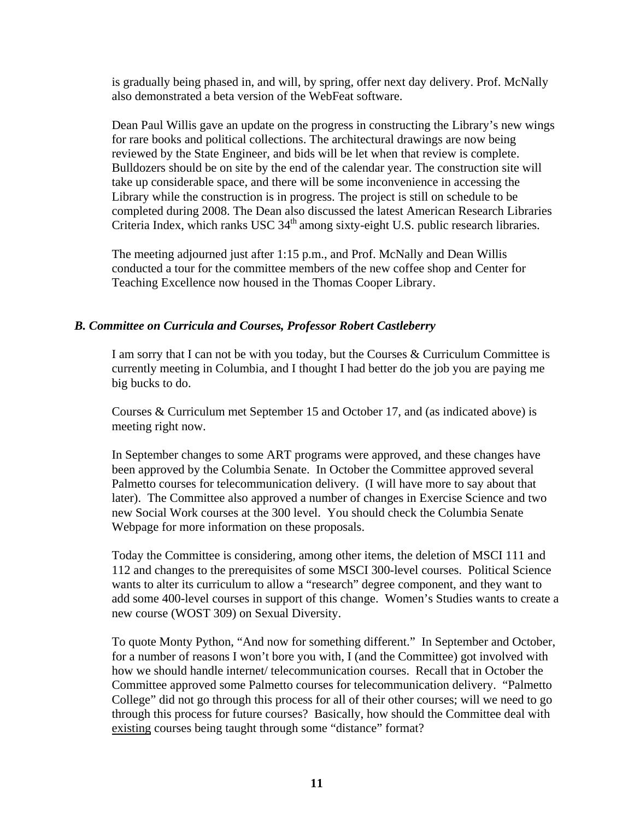is gradually being phased in, and will, by spring, offer next day delivery. Prof. McNally also demonstrated a beta version of the WebFeat software.

Dean Paul Willis gave an update on the progress in constructing the Library's new wings for rare books and political collections. The architectural drawings are now being reviewed by the State Engineer, and bids will be let when that review is complete. Bulldozers should be on site by the end of the calendar year. The construction site will take up considerable space, and there will be some inconvenience in accessing the Library while the construction is in progress. The project is still on schedule to be completed during 2008. The Dean also discussed the latest American Research Libraries Criteria Index, which ranks USC  $34<sup>th</sup>$  among sixty-eight U.S. public research libraries.

The meeting adjourned just after 1:15 p.m., and Prof. McNally and Dean Willis conducted a tour for the committee members of the new coffee shop and Center for Teaching Excellence now housed in the Thomas Cooper Library.

## *B. Committee on Curricula and Courses, Professor Robert Castleberry*

 I am sorry that I can not be with you today, but the Courses & Curriculum Committee is currently meeting in Columbia, and I thought I had better do the job you are paying me big bucks to do.

Courses & Curriculum met September 15 and October 17, and (as indicated above) is meeting right now.

In September changes to some ART programs were approved, and these changes have been approved by the Columbia Senate. In October the Committee approved several Palmetto courses for telecommunication delivery. (I will have more to say about that later). The Committee also approved a number of changes in Exercise Science and two new Social Work courses at the 300 level. You should check the Columbia Senate Webpage for more information on these proposals.

Today the Committee is considering, among other items, the deletion of MSCI 111 and 112 and changes to the prerequisites of some MSCI 300-level courses. Political Science wants to alter its curriculum to allow a "research" degree component, and they want to add some 400-level courses in support of this change. Women's Studies wants to create a new course (WOST 309) on Sexual Diversity.

To quote Monty Python, "And now for something different." In September and October, for a number of reasons I won't bore you with, I (and the Committee) got involved with how we should handle internet/ telecommunication courses. Recall that in October the Committee approved some Palmetto courses for telecommunication delivery. "Palmetto College" did not go through this process for all of their other courses; will we need to go through this process for future courses? Basically, how should the Committee deal with existing courses being taught through some "distance" format?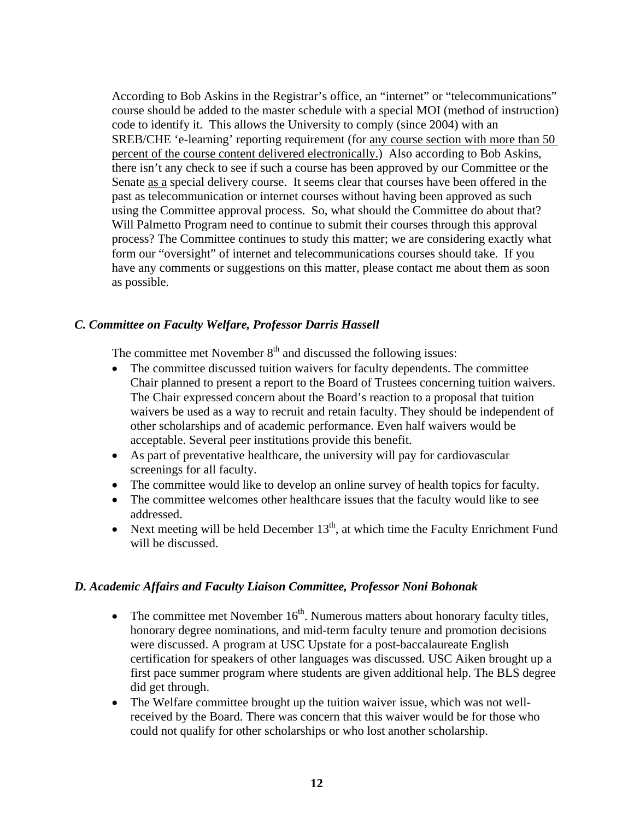According to Bob Askins in the Registrar's office, an "internet" or "telecommunications" course should be added to the master schedule with a special MOI (method of instruction) code to identify it. This allows the University to comply (since 2004) with an SREB/CHE 'e-learning' reporting requirement (for any course section with more than 50 percent of the course content delivered electronically.) Also according to Bob Askins, there isn't any check to see if such a course has been approved by our Committee or the Senate as a special delivery course. It seems clear that courses have been offered in the past as telecommunication or internet courses without having been approved as such using the Committee approval process. So, what should the Committee do about that? Will Palmetto Program need to continue to submit their courses through this approval process? The Committee continues to study this matter; we are considering exactly what form our "oversight" of internet and telecommunications courses should take. If you have any comments or suggestions on this matter, please contact me about them as soon as possible.

## *C. Committee on Faculty Welfare, Professor Darris Hassell*

The committee met November  $8<sup>th</sup>$  and discussed the following issues:

- The committee discussed tuition waivers for faculty dependents. The committee Chair planned to present a report to the Board of Trustees concerning tuition waivers. The Chair expressed concern about the Board's reaction to a proposal that tuition waivers be used as a way to recruit and retain faculty. They should be independent of other scholarships and of academic performance. Even half waivers would be acceptable. Several peer institutions provide this benefit.
- As part of preventative healthcare, the university will pay for cardiovascular screenings for all faculty.
- The committee would like to develop an online survey of health topics for faculty.
- The committee welcomes other healthcare issues that the faculty would like to see addressed.
- Next meeting will be held December  $13<sup>th</sup>$ , at which time the Faculty Enrichment Fund will be discussed.

#### *D. Academic Affairs and Faculty Liaison Committee, Professor Noni Bohonak*

- The committee met November  $16<sup>th</sup>$ . Numerous matters about honorary faculty titles, honorary degree nominations, and mid-term faculty tenure and promotion decisions were discussed. A program at USC Upstate for a post-baccalaureate English certification for speakers of other languages was discussed. USC Aiken brought up a first pace summer program where students are given additional help. The BLS degree did get through.
- The Welfare committee brought up the tuition waiver issue, which was not wellreceived by the Board. There was concern that this waiver would be for those who could not qualify for other scholarships or who lost another scholarship.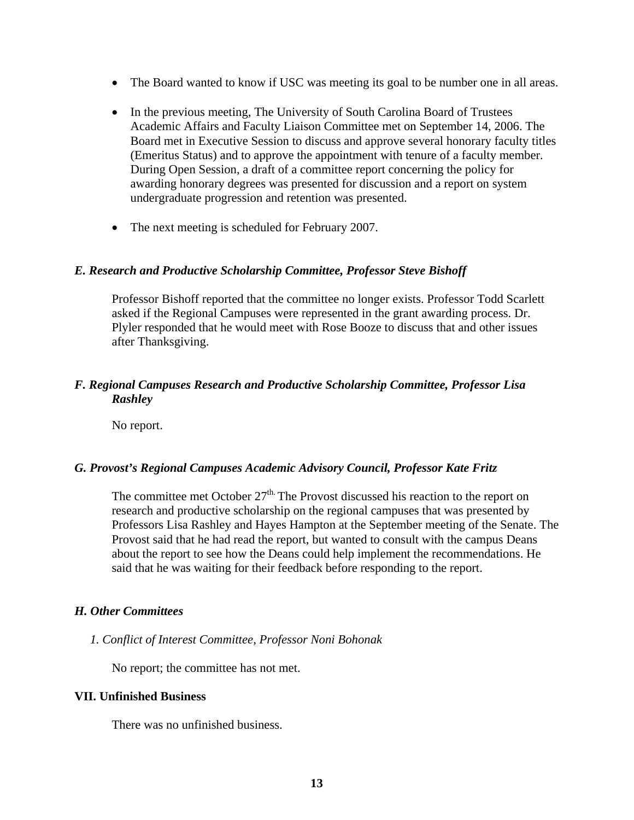- The Board wanted to know if USC was meeting its goal to be number one in all areas.
- In the previous meeting, The University of South Carolina Board of Trustees Academic Affairs and Faculty Liaison Committee met on September 14, 2006. The Board met in Executive Session to discuss and approve several honorary faculty titles (Emeritus Status) and to approve the appointment with tenure of a faculty member. During Open Session, a draft of a committee report concerning the policy for awarding honorary degrees was presented for discussion and a report on system undergraduate progression and retention was presented.
- The next meeting is scheduled for February 2007.

#### *E. Research and Productive Scholarship Committee, Professor Steve Bishoff*

Professor Bishoff reported that the committee no longer exists. Professor Todd Scarlett asked if the Regional Campuses were represented in the grant awarding process. Dr. Plyler responded that he would meet with Rose Booze to discuss that and other issues after Thanksgiving.

#### *F. Regional Campuses Research and Productive Scholarship Committee, Professor Lisa Rashley*

No report.

#### *G. Provost's Regional Campuses Academic Advisory Council, Professor Kate Fritz*

The committee met October  $27<sup>th</sup>$ . The Provost discussed his reaction to the report on research and productive scholarship on the regional campuses that was presented by Professors Lisa Rashley and Hayes Hampton at the September meeting of the Senate. The Provost said that he had read the report, but wanted to consult with the campus Deans about the report to see how the Deans could help implement the recommendations. He said that he was waiting for their feedback before responding to the report.

#### *H. Other Committees*

#### *1. Conflict of Interest Committee, Professor Noni Bohonak*

No report; the committee has not met.

#### **VII. Unfinished Business**

There was no unfinished business.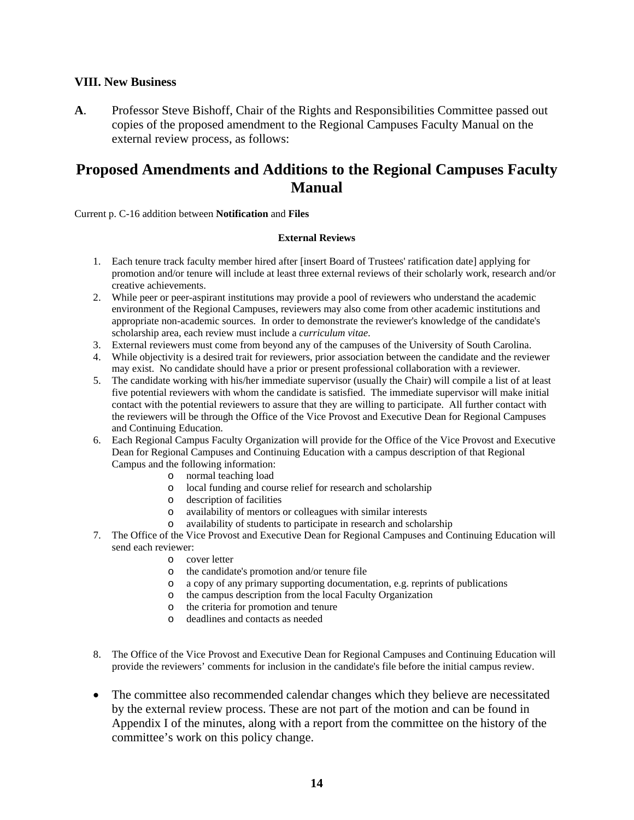#### **VIII. New Business**

**A**. Professor Steve Bishoff, Chair of the Rights and Responsibilities Committee passed out copies of the proposed amendment to the Regional Campuses Faculty Manual on the external review process, as follows:

# **Proposed Amendments and Additions to the Regional Campuses Faculty Manual**

Current p. C-16 addition between **Notification** and **Files**

#### **External Reviews**

- 1. Each tenure track faculty member hired after [insert Board of Trustees' ratification date] applying for promotion and/or tenure will include at least three external reviews of their scholarly work, research and/or creative achievements.
- 2. While peer or peer-aspirant institutions may provide a pool of reviewers who understand the academic environment of the Regional Campuses, reviewers may also come from other academic institutions and appropriate non-academic sources. In order to demonstrate the reviewer's knowledge of the candidate's scholarship area, each review must include a *curriculum vitae*.
- 3. External reviewers must come from beyond any of the campuses of the University of South Carolina.
- 4. While objectivity is a desired trait for reviewers, prior association between the candidate and the reviewer may exist. No candidate should have a prior or present professional collaboration with a reviewer.
- 5. The candidate working with his/her immediate supervisor (usually the Chair) will compile a list of at least five potential reviewers with whom the candidate is satisfied. The immediate supervisor will make initial contact with the potential reviewers to assure that they are willing to participate. All further contact with the reviewers will be through the Office of the Vice Provost and Executive Dean for Regional Campuses and Continuing Education.
- 6. Each Regional Campus Faculty Organization will provide for the Office of the Vice Provost and Executive Dean for Regional Campuses and Continuing Education with a campus description of that Regional Campus and the following information:
	- o normal teaching load
	- o local funding and course relief for research and scholarship
	- o description of facilities
	- o availability of mentors or colleagues with similar interests
	- o availability of students to participate in research and scholarship
- 7. The Office of the Vice Provost and Executive Dean for Regional Campuses and Continuing Education will send each reviewer:
	- o cover letter
	- o the candidate's promotion and/or tenure file
	- o a copy of any primary supporting documentation, e.g. reprints of publications
	- o the campus description from the local Faculty Organization
	- o the criteria for promotion and tenure
	- o deadlines and contacts as needed
- 8. The Office of the Vice Provost and Executive Dean for Regional Campuses and Continuing Education will provide the reviewers' comments for inclusion in the candidate's file before the initial campus review.
- The committee also recommended calendar changes which they believe are necessitated by the external review process. These are not part of the motion and can be found in Appendix I of the minutes, along with a report from the committee on the history of the committee's work on this policy change.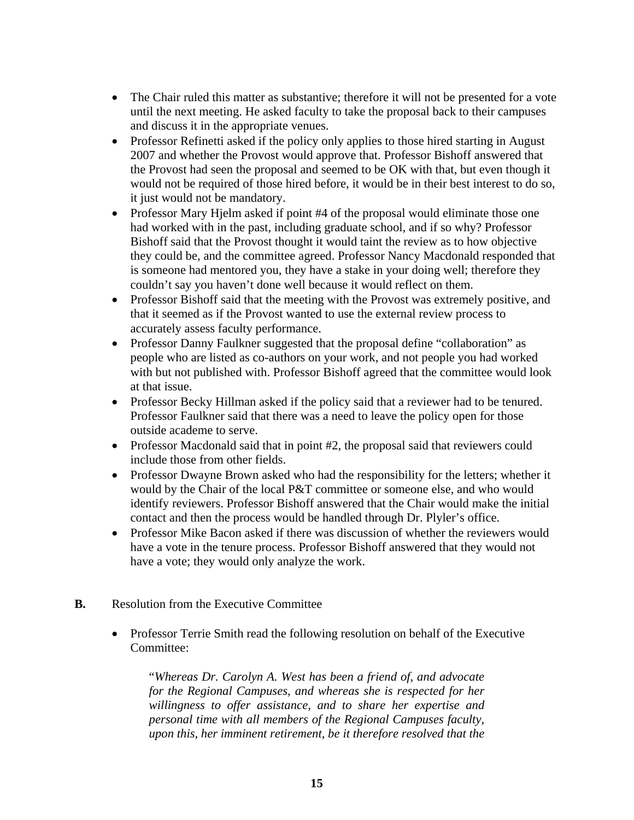- The Chair ruled this matter as substantive; therefore it will not be presented for a vote until the next meeting. He asked faculty to take the proposal back to their campuses and discuss it in the appropriate venues.
- Professor Refinetti asked if the policy only applies to those hired starting in August 2007 and whether the Provost would approve that. Professor Bishoff answered that the Provost had seen the proposal and seemed to be OK with that, but even though it would not be required of those hired before, it would be in their best interest to do so, it just would not be mandatory.
- Professor Mary Hielm asked if point #4 of the proposal would eliminate those one had worked with in the past, including graduate school, and if so why? Professor Bishoff said that the Provost thought it would taint the review as to how objective they could be, and the committee agreed. Professor Nancy Macdonald responded that is someone had mentored you, they have a stake in your doing well; therefore they couldn't say you haven't done well because it would reflect on them.
- Professor Bishoff said that the meeting with the Provost was extremely positive, and that it seemed as if the Provost wanted to use the external review process to accurately assess faculty performance.
- Professor Danny Faulkner suggested that the proposal define "collaboration" as people who are listed as co-authors on your work, and not people you had worked with but not published with. Professor Bishoff agreed that the committee would look at that issue.
- Professor Becky Hillman asked if the policy said that a reviewer had to be tenured. Professor Faulkner said that there was a need to leave the policy open for those outside academe to serve.
- Professor Macdonald said that in point #2, the proposal said that reviewers could include those from other fields.
- Professor Dwayne Brown asked who had the responsibility for the letters; whether it would by the Chair of the local P&T committee or someone else, and who would identify reviewers. Professor Bishoff answered that the Chair would make the initial contact and then the process would be handled through Dr. Plyler's office.
- Professor Mike Bacon asked if there was discussion of whether the reviewers would have a vote in the tenure process. Professor Bishoff answered that they would not have a vote; they would only analyze the work.
- **B.** Resolution from the Executive Committee
	- Professor Terrie Smith read the following resolution on behalf of the Executive Committee:

 "*Whereas Dr. Carolyn A. West has been a friend of, and advocate for the Regional Campuses, and whereas she is respected for her willingness to offer assistance, and to share her expertise and personal time with all members of the Regional Campuses faculty, upon this, her imminent retirement, be it therefore resolved that the*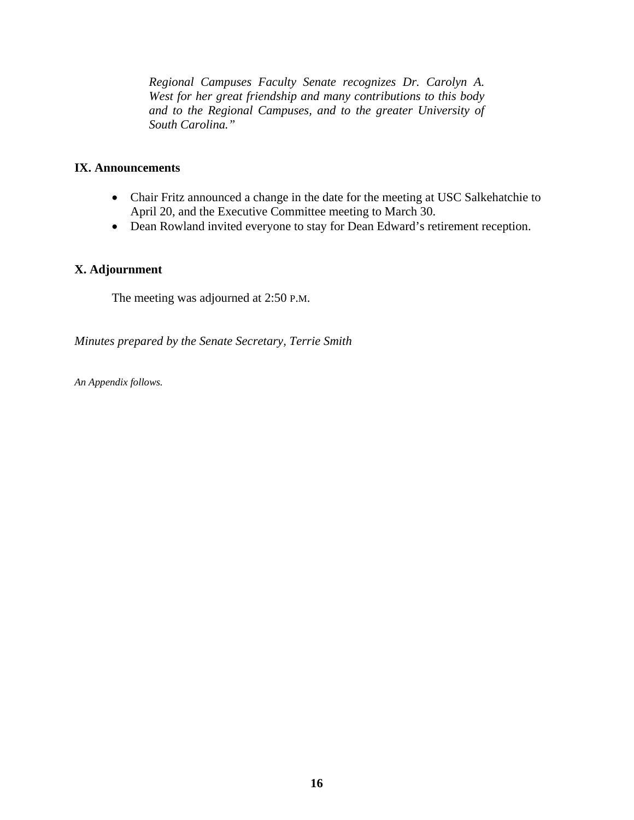*Regional Campuses Faculty Senate recognizes Dr. Carolyn A. West for her great friendship and many contributions to this body and to the Regional Campuses, and to the greater University of South Carolina."* 

## **IX. Announcements**

- Chair Fritz announced a change in the date for the meeting at USC Salkehatchie to April 20, and the Executive Committee meeting to March 30.
- Dean Rowland invited everyone to stay for Dean Edward's retirement reception.

#### **X. Adjournment**

The meeting was adjourned at 2:50 P.M.

*Minutes prepared by the Senate Secretary, Terrie Smith* 

*An Appendix follows.*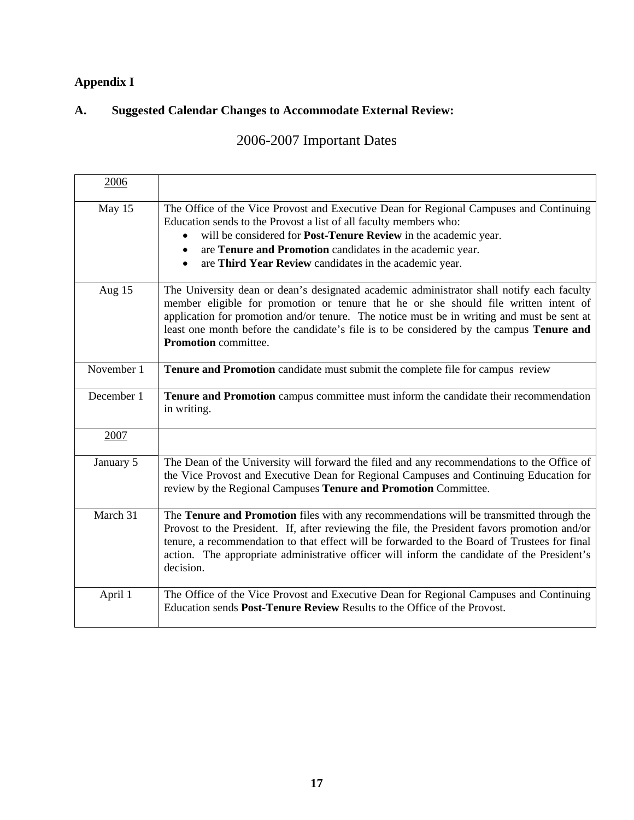# **Appendix I**

# **A. Suggested Calendar Changes to Accommodate External Review:**

# 2006-2007 Important Dates

| 2006       |                                                                                                                                                                                                                                                                                                                                                                                                                   |
|------------|-------------------------------------------------------------------------------------------------------------------------------------------------------------------------------------------------------------------------------------------------------------------------------------------------------------------------------------------------------------------------------------------------------------------|
| May 15     | The Office of the Vice Provost and Executive Dean for Regional Campuses and Continuing<br>Education sends to the Provost a list of all faculty members who:<br>will be considered for Post-Tenure Review in the academic year.<br>are Tenure and Promotion candidates in the academic year.<br>$\bullet$<br>are Third Year Review candidates in the academic year.                                                |
| Aug 15     | The University dean or dean's designated academic administrator shall notify each faculty<br>member eligible for promotion or tenure that he or she should file written intent of<br>application for promotion and/or tenure. The notice must be in writing and must be sent at<br>least one month before the candidate's file is to be considered by the campus <b>Tenure and</b><br><b>Promotion</b> committee. |
| November 1 | Tenure and Promotion candidate must submit the complete file for campus review                                                                                                                                                                                                                                                                                                                                    |
| December 1 | Tenure and Promotion campus committee must inform the candidate their recommendation<br>in writing.                                                                                                                                                                                                                                                                                                               |
| 2007       |                                                                                                                                                                                                                                                                                                                                                                                                                   |
| January 5  | The Dean of the University will forward the filed and any recommendations to the Office of<br>the Vice Provost and Executive Dean for Regional Campuses and Continuing Education for<br>review by the Regional Campuses Tenure and Promotion Committee.                                                                                                                                                           |
| March 31   | The Tenure and Promotion files with any recommendations will be transmitted through the<br>Provost to the President. If, after reviewing the file, the President favors promotion and/or<br>tenure, a recommendation to that effect will be forwarded to the Board of Trustees for final<br>action. The appropriate administrative officer will inform the candidate of the President's<br>decision.              |
| April 1    | The Office of the Vice Provost and Executive Dean for Regional Campuses and Continuing<br>Education sends Post-Tenure Review Results to the Office of the Provost.                                                                                                                                                                                                                                                |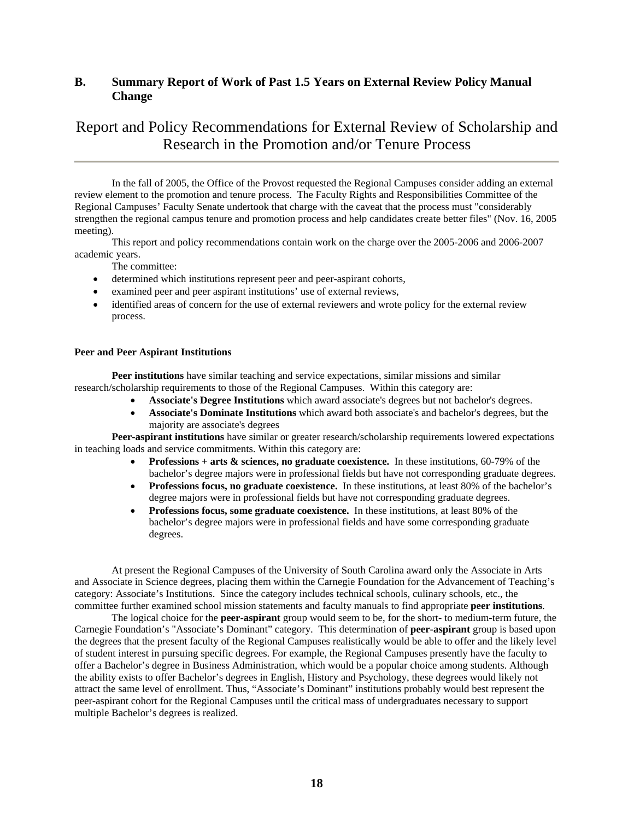#### **B. Summary Report of Work of Past 1.5 Years on External Review Policy Manual Change**

# Report and Policy Recommendations for External Review of Scholarship and Research in the Promotion and/or Tenure Process

 In the fall of 2005, the Office of the Provost requested the Regional Campuses consider adding an external review element to the promotion and tenure process. The Faculty Rights and Responsibilities Committee of the Regional Campuses' Faculty Senate undertook that charge with the caveat that the process must "considerably strengthen the regional campus tenure and promotion process and help candidates create better files" (Nov. 16, 2005 meeting).

 This report and policy recommendations contain work on the charge over the 2005-2006 and 2006-2007 academic years.

The committee:

- determined which institutions represent peer and peer-aspirant cohorts,
- examined peer and peer aspirant institutions' use of external reviews,
- identified areas of concern for the use of external reviewers and wrote policy for the external review process.

#### **Peer and Peer Aspirant Institutions**

**Peer institutions** have similar teaching and service expectations, similar missions and similar research/scholarship requirements to those of the Regional Campuses. Within this category are:

- **Associate's Degree Institutions** which award associate's degrees but not bachelor's degrees.
- **Associate's Dominate Institutions** which award both associate's and bachelor's degrees, but the majority are associate's degrees

**Peer-aspirant institutions** have similar or greater research/scholarship requirements lowered expectations in teaching loads and service commitments. Within this category are:

- **Professions + arts & sciences, no graduate coexistence.** In these institutions, 60-79% of the bachelor's degree majors were in professional fields but have not corresponding graduate degrees.
- **Professions focus, no graduate coexistence.** In these institutions, at least 80% of the bachelor's degree majors were in professional fields but have not corresponding graduate degrees.
- **Professions focus, some graduate coexistence.** In these institutions, at least 80% of the bachelor's degree majors were in professional fields and have some corresponding graduate degrees.

 At present the Regional Campuses of the University of South Carolina award only the Associate in Arts and Associate in Science degrees, placing them within the Carnegie Foundation for the Advancement of Teaching's category: Associate's Institutions. Since the category includes technical schools, culinary schools, etc., the committee further examined school mission statements and faculty manuals to find appropriate **peer institutions**.

 The logical choice for the **peer-aspirant** group would seem to be, for the short- to medium-term future, the Carnegie Foundation's "Associate's Dominant" category. This determination of **peer-aspirant** group is based upon the degrees that the present faculty of the Regional Campuses realistically would be able to offer and the likely level of student interest in pursuing specific degrees. For example, the Regional Campuses presently have the faculty to offer a Bachelor's degree in Business Administration, which would be a popular choice among students. Although the ability exists to offer Bachelor's degrees in English, History and Psychology, these degrees would likely not attract the same level of enrollment. Thus, "Associate's Dominant" institutions probably would best represent the peer-aspirant cohort for the Regional Campuses until the critical mass of undergraduates necessary to support multiple Bachelor's degrees is realized.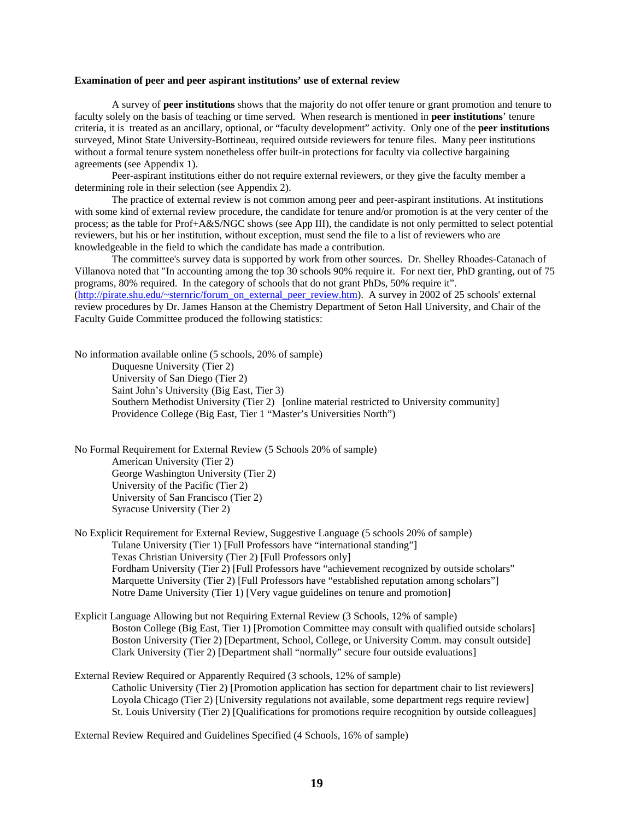#### **Examination of peer and peer aspirant institutions' use of external review**

 A survey of **peer institutions** shows that the majority do not offer tenure or grant promotion and tenure to faculty solely on the basis of teaching or time served. When research is mentioned in **peer institutions**' tenure criteria, it is treated as an ancillary, optional, or "faculty development" activity. Only one of the **peer institutions** surveyed, Minot State University-Bottineau, required outside reviewers for tenure files. Many peer institutions without a formal tenure system nonetheless offer built-in protections for faculty via collective bargaining agreements (see Appendix 1).

 Peer-aspirant institutions either do not require external reviewers, or they give the faculty member a determining role in their selection (see Appendix 2).

 The practice of external review is not common among peer and peer-aspirant institutions. At institutions with some kind of external review procedure, the candidate for tenure and/or promotion is at the very center of the process; as the table for Prof+A&S/NGC shows (see App III), the candidate is not only permitted to select potential reviewers, but his or her institution, without exception, must send the file to a list of reviewers who are knowledgeable in the field to which the candidate has made a contribution.

 The committee's survey data is supported by work from other sources. Dr. Shelley Rhoades-Catanach of Villanova noted that "In accounting among the top 30 schools 90% require it. For next tier, PhD granting, out of 75 programs, 80% required. In the category of schools that do not grant PhDs, 50% require it". [\(http://pirate.shu.edu/~sternric/forum\\_on\\_external\\_peer\\_review.htm](http://pirate.shu.edu/%7Esternric/forum_on_external_peer_review.htm)). A survey in 2002 of 25 schools' external

review procedures by Dr. James Hanson at the Chemistry Department of Seton Hall University, and Chair of the Faculty Guide Committee produced the following statistics:

No information available online (5 schools, 20% of sample) Duquesne University (Tier 2) University of San Diego (Tier 2) Saint John's University (Big East, Tier 3) Southern Methodist University (Tier 2) [online material restricted to University community] Providence College (Big East, Tier 1 "Master's Universities North")

No Formal Requirement for External Review (5 Schools 20% of sample) American University (Tier 2) George Washington University (Tier 2) University of the Pacific (Tier 2) University of San Francisco (Tier 2) Syracuse University (Tier 2)

No Explicit Requirement for External Review, Suggestive Language (5 schools 20% of sample) Tulane University (Tier 1) [Full Professors have "international standing"] Texas Christian University (Tier 2) [Full Professors only] Fordham University (Tier 2) [Full Professors have "achievement recognized by outside scholars" Marquette University (Tier 2) [Full Professors have "established reputation among scholars"] Notre Dame University (Tier 1) [Very vague guidelines on tenure and promotion]

- Explicit Language Allowing but not Requiring External Review (3 Schools, 12% of sample) Boston College (Big East, Tier 1) [Promotion Committee may consult with qualified outside scholars] Boston University (Tier 2) [Department, School, College, or University Comm. may consult outside] Clark University (Tier 2) [Department shall "normally" secure four outside evaluations]
- External Review Required or Apparently Required (3 schools, 12% of sample) Catholic University (Tier 2) [Promotion application has section for department chair to list reviewers] Loyola Chicago (Tier 2) [University regulations not available, some department regs require review] St. Louis University (Tier 2) [Qualifications for promotions require recognition by outside colleagues]

External Review Required and Guidelines Specified (4 Schools, 16% of sample)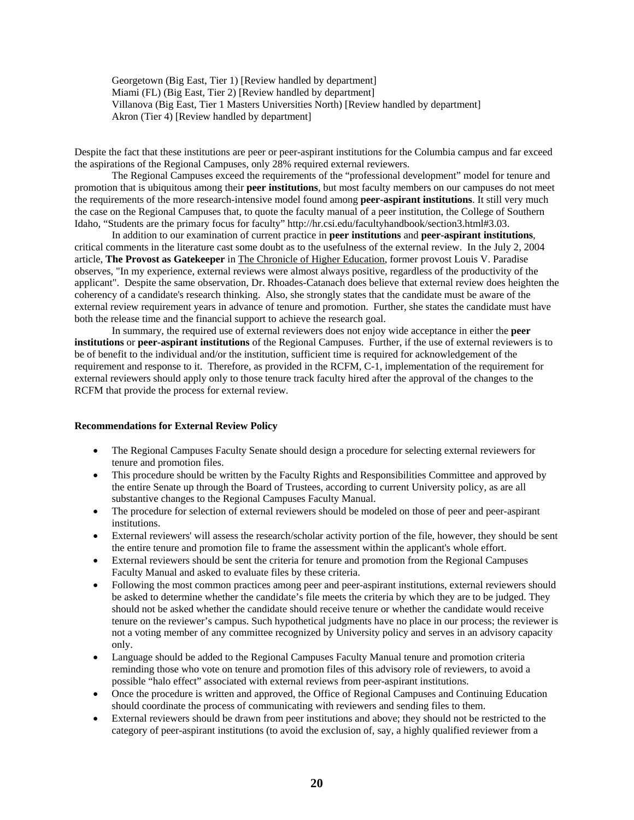Georgetown (Big East, Tier 1) [Review handled by department] Miami (FL) (Big East, Tier 2) [Review handled by department] Villanova (Big East, Tier 1 Masters Universities North) [Review handled by department] Akron (Tier 4) [Review handled by department]

Despite the fact that these institutions are peer or peer-aspirant institutions for the Columbia campus and far exceed the aspirations of the Regional Campuses, only 28% required external reviewers.

 The Regional Campuses exceed the requirements of the "professional development" model for tenure and promotion that is ubiquitous among their **peer institutions**, but most faculty members on our campuses do not meet the requirements of the more research-intensive model found among **peer-aspirant institutions**. It still very much the case on the Regional Campuses that, to quote the faculty manual of a peer institution, the College of Southern Idaho, "Students are the primary focus for faculty" http://hr.csi.edu/facultyhandbook/section3.html#3.03.

 In addition to our examination of current practice in **peer institutions** and **peer-aspirant institutions**, critical comments in the literature cast some doubt as to the usefulness of the external review. In the July 2, 2004 article, **The Provost as Gatekeeper** in The Chronicle of Higher Education, former provost Louis V. Paradise observes, "In my experience, external reviews were almost always positive, regardless of the productivity of the applicant". Despite the same observation, Dr. Rhoades-Catanach does believe that external review does heighten the coherency of a candidate's research thinking. Also, she strongly states that the candidate must be aware of the external review requirement years in advance of tenure and promotion. Further, she states the candidate must have both the release time and the financial support to achieve the research goal.

 In summary, the required use of external reviewers does not enjoy wide acceptance in either the **peer institutions** or **peer-aspirant institutions** of the Regional Campuses. Further, if the use of external reviewers is to be of benefit to the individual and/or the institution, sufficient time is required for acknowledgement of the requirement and response to it. Therefore, as provided in the RCFM, C-1, implementation of the requirement for external reviewers should apply only to those tenure track faculty hired after the approval of the changes to the RCFM that provide the process for external review.

#### **Recommendations for External Review Policy**

- The Regional Campuses Faculty Senate should design a procedure for selecting external reviewers for tenure and promotion files.
- This procedure should be written by the Faculty Rights and Responsibilities Committee and approved by the entire Senate up through the Board of Trustees, according to current University policy, as are all substantive changes to the Regional Campuses Faculty Manual.
- The procedure for selection of external reviewers should be modeled on those of peer and peer-aspirant institutions.
- External reviewers' will assess the research/scholar activity portion of the file, however, they should be sent the entire tenure and promotion file to frame the assessment within the applicant's whole effort.
- External reviewers should be sent the criteria for tenure and promotion from the Regional Campuses Faculty Manual and asked to evaluate files by these criteria.
- Following the most common practices among peer and peer-aspirant institutions, external reviewers should be asked to determine whether the candidate's file meets the criteria by which they are to be judged. They should not be asked whether the candidate should receive tenure or whether the candidate would receive tenure on the reviewer's campus. Such hypothetical judgments have no place in our process; the reviewer is not a voting member of any committee recognized by University policy and serves in an advisory capacity only.
- Language should be added to the Regional Campuses Faculty Manual tenure and promotion criteria reminding those who vote on tenure and promotion files of this advisory role of reviewers, to avoid a possible "halo effect" associated with external reviews from peer-aspirant institutions.
- Once the procedure is written and approved, the Office of Regional Campuses and Continuing Education should coordinate the process of communicating with reviewers and sending files to them.
- External reviewers should be drawn from peer institutions and above; they should not be restricted to the category of peer-aspirant institutions (to avoid the exclusion of, say, a highly qualified reviewer from a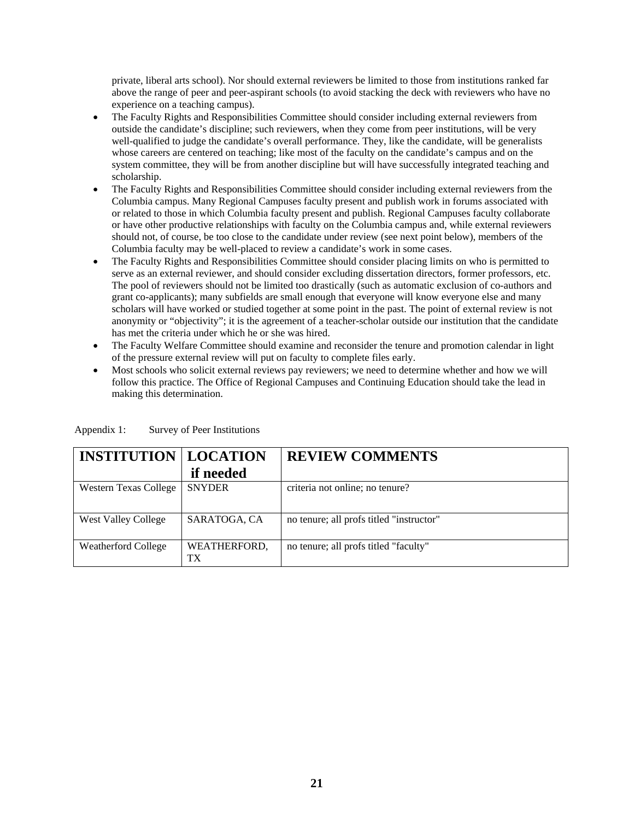private, liberal arts school). Nor should external reviewers be limited to those from institutions ranked far above the range of peer and peer-aspirant schools (to avoid stacking the deck with reviewers who have no experience on a teaching campus).

- The Faculty Rights and Responsibilities Committee should consider including external reviewers from outside the candidate's discipline; such reviewers, when they come from peer institutions, will be very well-qualified to judge the candidate's overall performance. They, like the candidate, will be generalists whose careers are centered on teaching; like most of the faculty on the candidate's campus and on the system committee, they will be from another discipline but will have successfully integrated teaching and scholarship.
- The Faculty Rights and Responsibilities Committee should consider including external reviewers from the Columbia campus. Many Regional Campuses faculty present and publish work in forums associated with or related to those in which Columbia faculty present and publish. Regional Campuses faculty collaborate or have other productive relationships with faculty on the Columbia campus and, while external reviewers should not, of course, be too close to the candidate under review (see next point below), members of the Columbia faculty may be well-placed to review a candidate's work in some cases.
- The Faculty Rights and Responsibilities Committee should consider placing limits on who is permitted to serve as an external reviewer, and should consider excluding dissertation directors, former professors, etc. The pool of reviewers should not be limited too drastically (such as automatic exclusion of co-authors and grant co-applicants); many subfields are small enough that everyone will know everyone else and many scholars will have worked or studied together at some point in the past. The point of external review is not anonymity or "objectivity"; it is the agreement of a teacher-scholar outside our institution that the candidate has met the criteria under which he or she was hired.
- The Faculty Welfare Committee should examine and reconsider the tenure and promotion calendar in light of the pressure external review will put on faculty to complete files early.
- Most schools who solicit external reviews pay reviewers; we need to determine whether and how we will follow this practice. The Office of Regional Campuses and Continuing Education should take the lead in making this determination.

| <b>INSTITUTION   LOCATION</b> | if needed          | <b>REVIEW COMMENTS</b>                   |
|-------------------------------|--------------------|------------------------------------------|
| <b>Western Texas College</b>  | <b>SNYDER</b>      | criteria not online; no tenure?          |
| <b>West Valley College</b>    | SARATOGA, CA       | no tenure; all profs titled "instructor" |
| <b>Weatherford College</b>    | WEATHERFORD,<br>TX | no tenure; all profs titled "faculty"    |

Appendix 1: Survey of Peer Institutions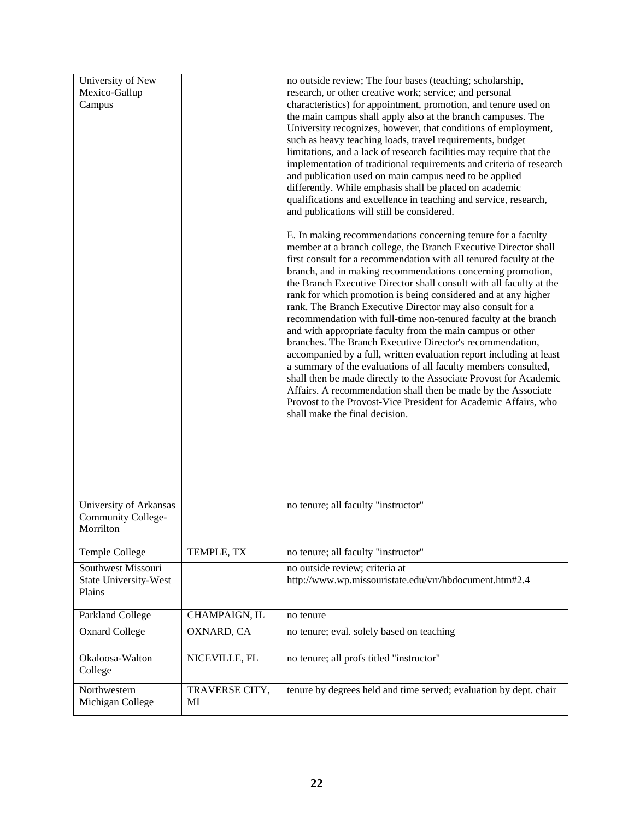| University of New<br>Mexico-Gallup<br>Campus              |                      | no outside review; The four bases (teaching; scholarship,<br>research, or other creative work; service; and personal<br>characteristics) for appointment, promotion, and tenure used on<br>the main campus shall apply also at the branch campuses. The<br>University recognizes, however, that conditions of employment,<br>such as heavy teaching loads, travel requirements, budget<br>limitations, and a lack of research facilities may require that the<br>implementation of traditional requirements and criteria of research<br>and publication used on main campus need to be applied<br>differently. While emphasis shall be placed on academic<br>qualifications and excellence in teaching and service, research,<br>and publications will still be considered.                                                                                                                                                                                                                                                                                   |
|-----------------------------------------------------------|----------------------|---------------------------------------------------------------------------------------------------------------------------------------------------------------------------------------------------------------------------------------------------------------------------------------------------------------------------------------------------------------------------------------------------------------------------------------------------------------------------------------------------------------------------------------------------------------------------------------------------------------------------------------------------------------------------------------------------------------------------------------------------------------------------------------------------------------------------------------------------------------------------------------------------------------------------------------------------------------------------------------------------------------------------------------------------------------|
|                                                           |                      | E. In making recommendations concerning tenure for a faculty<br>member at a branch college, the Branch Executive Director shall<br>first consult for a recommendation with all tenured faculty at the<br>branch, and in making recommendations concerning promotion,<br>the Branch Executive Director shall consult with all faculty at the<br>rank for which promotion is being considered and at any higher<br>rank. The Branch Executive Director may also consult for a<br>recommendation with full-time non-tenured faculty at the branch<br>and with appropriate faculty from the main campus or other<br>branches. The Branch Executive Director's recommendation,<br>accompanied by a full, written evaluation report including at least<br>a summary of the evaluations of all faculty members consulted,<br>shall then be made directly to the Associate Provost for Academic<br>Affairs. A recommendation shall then be made by the Associate<br>Provost to the Provost-Vice President for Academic Affairs, who<br>shall make the final decision. |
| University of Arkansas<br>Community College-<br>Morrilton |                      | no tenure; all faculty "instructor"                                                                                                                                                                                                                                                                                                                                                                                                                                                                                                                                                                                                                                                                                                                                                                                                                                                                                                                                                                                                                           |
| Temple College                                            | TEMPLE, TX           | no tenure; all faculty "instructor"                                                                                                                                                                                                                                                                                                                                                                                                                                                                                                                                                                                                                                                                                                                                                                                                                                                                                                                                                                                                                           |
| Southwest Missouri<br>State University-West<br>Plains     |                      | no outside review; criteria at<br>http://www.wp.missouristate.edu/vrr/hbdocument.htm#2.4                                                                                                                                                                                                                                                                                                                                                                                                                                                                                                                                                                                                                                                                                                                                                                                                                                                                                                                                                                      |
| Parkland College                                          | CHAMPAIGN, IL        | no tenure                                                                                                                                                                                                                                                                                                                                                                                                                                                                                                                                                                                                                                                                                                                                                                                                                                                                                                                                                                                                                                                     |
| <b>Oxnard College</b>                                     | OXNARD, CA           | no tenure; eval. solely based on teaching                                                                                                                                                                                                                                                                                                                                                                                                                                                                                                                                                                                                                                                                                                                                                                                                                                                                                                                                                                                                                     |
| Okaloosa-Walton<br>College                                | NICEVILLE, FL        | no tenure; all profs titled "instructor"                                                                                                                                                                                                                                                                                                                                                                                                                                                                                                                                                                                                                                                                                                                                                                                                                                                                                                                                                                                                                      |
| Northwestern<br>Michigan College                          | TRAVERSE CITY,<br>MI | tenure by degrees held and time served; evaluation by dept. chair                                                                                                                                                                                                                                                                                                                                                                                                                                                                                                                                                                                                                                                                                                                                                                                                                                                                                                                                                                                             |